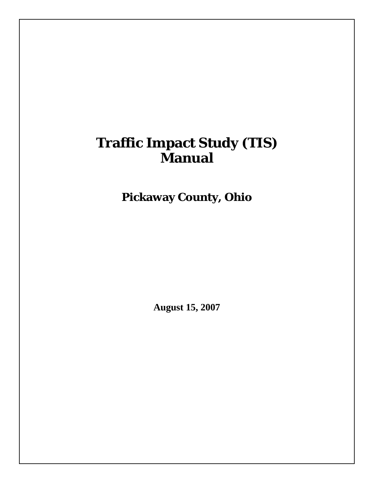# **Traffic Impact Study (TIS) Manual**

**Pickaway County, Ohio** 

**August 15, 2007**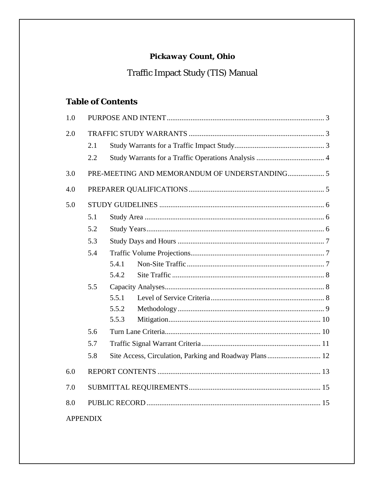# Pickaway Count, Ohio

# Traffic Impact Study (TIS) Manual

# **Table of Contents**

| 1.0             |     |       |
|-----------------|-----|-------|
| 2.0             |     |       |
|                 | 2.1 |       |
|                 | 2.2 |       |
| 3.0             |     |       |
| 4.0             |     |       |
| 5.0             |     |       |
|                 | 5.1 |       |
|                 | 5.2 |       |
|                 | 5.3 |       |
|                 | 5.4 |       |
|                 |     | 5.4.1 |
|                 |     | 5.4.2 |
|                 | 5.5 |       |
|                 |     | 5.5.1 |
|                 |     | 5.5.2 |
|                 |     | 5.5.3 |
|                 | 5.6 |       |
|                 | 5.7 |       |
|                 | 5.8 |       |
| 6.0             |     |       |
| 7.0             |     |       |
| 8.0             |     |       |
| <b>APPENDIX</b> |     |       |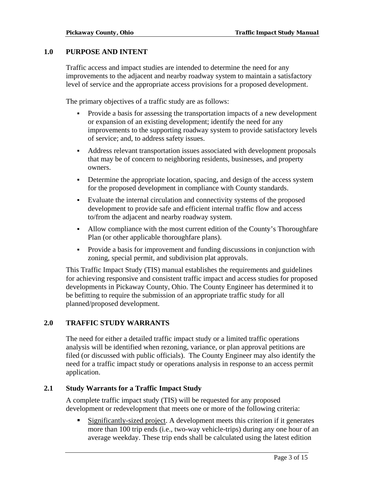#### **1.0 PURPOSE AND INTENT**

Traffic access and impact studies are intended to determine the need for any improvements to the adjacent and nearby roadway system to maintain a satisfactory level of service and the appropriate access provisions for a proposed development.

The primary objectives of a traffic study are as follows:

- Provide a basis for assessing the transportation impacts of a new development or expansion of an existing development; identify the need for any improvements to the supporting roadway system to provide satisfactory levels of service; and, to address safety issues.
- Address relevant transportation issues associated with development proposals that may be of concern to neighboring residents, businesses, and property owners.
- Determine the appropriate location, spacing, and design of the access system for the proposed development in compliance with County standards.
- Evaluate the internal circulation and connectivity systems of the proposed development to provide safe and efficient internal traffic flow and access to/from the adjacent and nearby roadway system.
- Allow compliance with the most current edition of the County's Thoroughfare Plan (or other applicable thoroughfare plans).
- Provide a basis for improvement and funding discussions in conjunction with zoning, special permit, and subdivision plat approvals.

This Traffic Impact Study (TIS) manual establishes the requirements and guidelines for achieving responsive and consistent traffic impact and access studies for proposed developments in Pickaway County, Ohio. The County Engineer has determined it to be befitting to require the submission of an appropriate traffic study for all planned/proposed development.

### **2.0 TRAFFIC STUDY WARRANTS**

The need for either a detailed traffic impact study or a limited traffic operations analysis will be identified when rezoning, variance, or plan approval petitions are filed (or discussed with public officials). The County Engineer may also identify the need for a traffic impact study or operations analysis in response to an access permit application.

#### **2.1 Study Warrants for a Traffic Impact Study**

A complete traffic impact study (TIS) will be requested for any proposed development or redevelopment that meets one or more of the following criteria:

 Significantly-sized project. A development meets this criterion if it generates more than 100 trip ends (i.e., two-way vehicle-trips) during any one hour of an average weekday. These trip ends shall be calculated using the latest edition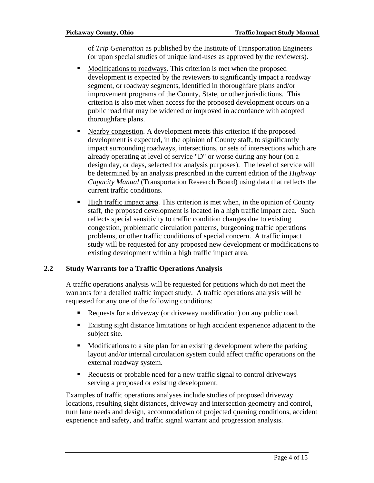of *Trip Generation* as published by the Institute of Transportation Engineers (or upon special studies of unique land-uses as approved by the reviewers).

- Modifications to roadways. This criterion is met when the proposed development is expected by the reviewers to significantly impact a roadway segment, or roadway segments, identified in thoroughfare plans and/or improvement programs of the County, State, or other jurisdictions. This criterion is also met when access for the proposed development occurs on a public road that may be widened or improved in accordance with adopted thoroughfare plans.
- Nearby congestion. A development meets this criterion if the proposed development is expected, in the opinion of County staff, to significantly impact surrounding roadways, intersections, or sets of intersections which are already operating at level of service "D" or worse during any hour (on a design day, or days, selected for analysis purposes). The level of service will be determined by an analysis prescribed in the current edition of the *Highway Capacity Manual* (Transportation Research Board) using data that reflects the current traffic conditions.
- High traffic impact area. This criterion is met when, in the opinion of County staff, the proposed development is located in a high traffic impact area. Such reflects special sensitivity to traffic condition changes due to existing congestion, problematic circulation patterns, burgeoning traffic operations problems, or other traffic conditions of special concern. A traffic impact study will be requested for any proposed new development or modifications to existing development within a high traffic impact area.

### **2.2 Study Warrants for a Traffic Operations Analysis**

A traffic operations analysis will be requested for petitions which do not meet the warrants for a detailed traffic impact study. A traffic operations analysis will be requested for any one of the following conditions:

- Requests for a driveway (or driveway modification) on any public road.
- Existing sight distance limitations or high accident experience adjacent to the subject site.
- Modifications to a site plan for an existing development where the parking layout and/or internal circulation system could affect traffic operations on the external roadway system.
- Requests or probable need for a new traffic signal to control driveways serving a proposed or existing development.

Examples of traffic operations analyses include studies of proposed driveway locations, resulting sight distances, driveway and intersection geometry and control, turn lane needs and design, accommodation of projected queuing conditions, accident experience and safety, and traffic signal warrant and progression analysis.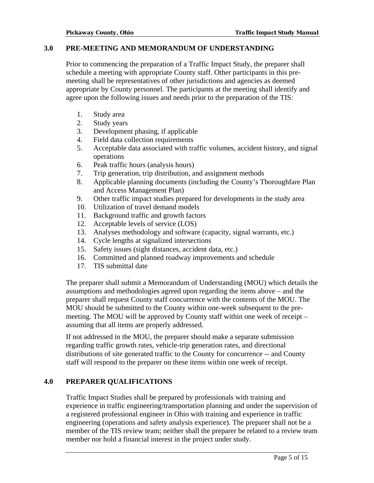#### **3.0 PRE-MEETING AND MEMORANDUM OF UNDERSTANDING**

Prior to commencing the preparation of a Traffic Impact Study, the preparer shall schedule a meeting with appropriate County staff. Other participants in this premeeting shall be representatives of other jurisdictions and agencies as deemed appropriate by County personnel. The participants at the meeting shall identify and agree upon the following issues and needs prior to the preparation of the TIS:

- 1. Study area
- 2. Study years
- 3. Development phasing, if applicable
- 4. Field data collection requirements
- 5. Acceptable data associated with traffic volumes, accident history, and signal operations
- 6. Peak traffic hours (analysis hours)
- 7. Trip generation, trip distribution, and assignment methods
- 8. Applicable planning documents (including the County's Thoroughfare Plan and Access Management Plan)
- 9. Other traffic impact studies prepared for developments in the study area
- 10. Utilization of travel demand models
- 11. Background traffic and growth factors
- 12. Acceptable levels of service (LOS)
- 13. Analyses methodology and software (capacity, signal warrants, etc.)
- 14. Cycle lengths at signalized intersections
- 15. Safety issues (sight distances, accident data, etc.)
- 16. Committed and planned roadway improvements and schedule
- 17. TIS submittal date

The preparer shall submit a Memorandum of Understanding (MOU) which details the assumptions and methodologies agreed upon regarding the items above – and the preparer shall request County staff concurrence with the contents of the MOU. The MOU should be submitted to the County within one-week subsequent to the premeeting. The MOU will be approved by County staff within one week of receipt – assuming that all items are properly addressed.

If not addressed in the MOU, the preparer should make a separate submission regarding traffic growth rates, vehicle-trip generation rates, and directional distributions of site generated traffic to the County for concurrence -- and County staff will respond to the preparer on these items within one week of receipt.

### **4.0 PREPARER QUALIFICATIONS**

Traffic Impact Studies shall be prepared by professionals with training and experience in traffic engineering/transportation planning and under the supervision of a registered professional engineer in Ohio with training and experience in traffic engineering (operations and safety analysis experience). The preparer shall not be a member of the TIS review team; neither shall the preparer be related to a review team member nor hold a financial interest in the project under study.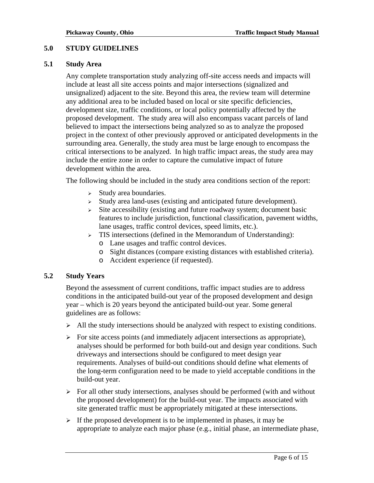### **5.0 STUDY GUIDELINES**

#### **5.1 Study Area**

Any complete transportation study analyzing off-site access needs and impacts will include at least all site access points and major intersections (signalized and unsignalized) adjacent to the site. Beyond this area, the review team will determine any additional area to be included based on local or site specific deficiencies, development size, traffic conditions, or local policy potentially affected by the proposed development. The study area will also encompass vacant parcels of land believed to impact the intersections being analyzed so as to analyze the proposed project in the context of other previously approved or anticipated developments in the surrounding area. Generally, the study area must be large enough to encompass the critical intersections to be analyzed. In high traffic impact areas, the study area may include the entire zone in order to capture the cumulative impact of future development within the area.

The following should be included in the study area conditions section of the report:

- $\triangleright$  Study area boundaries.
- <sup>¾</sup>Study area land-uses (existing and anticipated future development).
- $\geq$  Site accessibility (existing and future roadway system; document basic features to include jurisdiction, functional classification, pavement widths, lane usages, traffic control devices, speed limits, etc.).
- <sup>¾</sup>TIS intersections (defined in the Memorandum of Understanding):
	- o Lane usages and traffic control devices.
	- o Sight distances (compare existing distances with established criteria).
	- o Accident experience (if requested).

#### **5.2 Study Years**

Beyond the assessment of current conditions, traffic impact studies are to address conditions in the anticipated build-out year of the proposed development and design year – which is 20 years beyond the anticipated build-out year. Some general guidelines are as follows:

- $\triangleright$  All the study intersections should be analyzed with respect to existing conditions.
- $\triangleright$  For site access points (and immediately adjacent intersections as appropriate), analyses should be performed for both build-out and design year conditions. Such driveways and intersections should be configured to meet design year requirements. Analyses of build-out conditions should define what elements of the long-term configuration need to be made to yield acceptable conditions in the build-out year.
- $\triangleright$  For all other study intersections, analyses should be performed (with and without the proposed development) for the build-out year. The impacts associated with site generated traffic must be appropriately mitigated at these intersections.
- $\triangleright$  If the proposed development is to be implemented in phases, it may be appropriate to analyze each major phase (e.g., initial phase, an intermediate phase,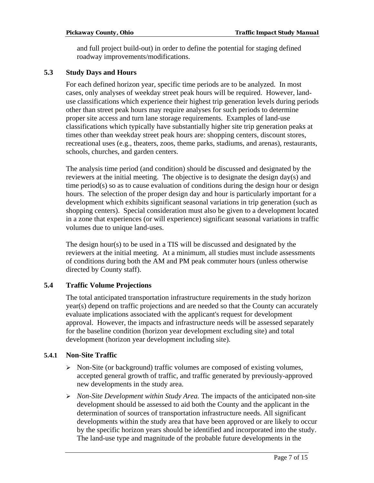and full project build-out) in order to define the potential for staging defined roadway improvements/modifications.

#### **5.3 Study Days and Hours**

For each defined horizon year, specific time periods are to be analyzed. In most cases, only analyses of weekday street peak hours will be required. However, landuse classifications which experience their highest trip generation levels during periods other than street peak hours may require analyses for such periods to determine proper site access and turn lane storage requirements. Examples of land-use classifications which typically have substantially higher site trip generation peaks at times other than weekday street peak hours are: shopping centers, discount stores, recreational uses (e.g., theaters, zoos, theme parks, stadiums, and arenas), restaurants, schools, churches, and garden centers.

The analysis time period (and condition) should be discussed and designated by the reviewers at the initial meeting. The objective is to designate the design day(s) and time period(s) so as to cause evaluation of conditions during the design hour or design hours. The selection of the proper design day and hour is particularly important for a development which exhibits significant seasonal variations in trip generation (such as shopping centers). Special consideration must also be given to a development located in a zone that experiences (or will experience) significant seasonal variations in traffic volumes due to unique land-uses.

The design hour(s) to be used in a TIS will be discussed and designated by the reviewers at the initial meeting. At a minimum, all studies must include assessments of conditions during both the AM and PM peak commuter hours (unless otherwise directed by County staff).

### **5.4 Traffic Volume Projections**

The total anticipated transportation infrastructure requirements in the study horizon year(s) depend on traffic projections and are needed so that the County can accurately evaluate implications associated with the applicant's request for development approval. However, the impacts and infrastructure needs will be assessed separately for the baseline condition (horizon year development excluding site) and total development (horizon year development including site).

### **5.4.1 Non-Site Traffic**

- ¾ Non-Site (or background) traffic volumes are composed of existing volumes, accepted general growth of traffic, and traffic generated by previously-approved new developments in the study area.
- ¾ *Non-Site Development within Study Area.* The impacts of the anticipated non-site development should be assessed to aid both the County and the applicant in the determination of sources of transportation infrastructure needs. All significant developments within the study area that have been approved or are likely to occur by the specific horizon years should be identified and incorporated into the study. The land-use type and magnitude of the probable future developments in the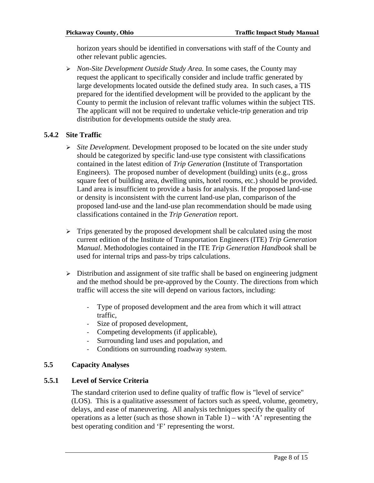horizon years should be identified in conversations with staff of the County and other relevant public agencies.

¾ *Non-Site Development Outside Study Area.* In some cases, the County may request the applicant to specifically consider and include traffic generated by large developments located outside the defined study area. In such cases, a TIS prepared for the identified development will be provided to the applicant by the County to permit the inclusion of relevant traffic volumes within the subject TIS. The applicant will not be required to undertake vehicle-trip generation and trip distribution for developments outside the study area.

### **5.4.2 Site Traffic**

- ¾ *Site Development.* Development proposed to be located on the site under study should be categorized by specific land-use type consistent with classifications contained in the latest edition of *Trip Generation* (Institute of Transportation Engineers). The proposed number of development (building) units (e.g., gross square feet of building area, dwelling units, hotel rooms, etc.) should be provided. Land area is insufficient to provide a basis for analysis. If the proposed land-use or density is inconsistent with the current land-use plan, comparison of the proposed land-use and the land-use plan recommendation should be made using classifications contained in the *Trip Generation* report.
- $\triangleright$  Trips generated by the proposed development shall be calculated using the most current edition of the Institute of Transportation Engineers (ITE) *Trip Generation* M*anual*. Methodologies contained in the ITE *Trip Generation Handbook* shall be used for internal trips and pass-by trips calculations.
- $\triangleright$  Distribution and assignment of site traffic shall be based on engineering judgment and the method should be pre-approved by the County. The directions from which traffic will access the site will depend on various factors, including:
	- Type of proposed development and the area from which it will attract traffic,
	- Size of proposed development,
	- Competing developments (if applicable),
	- Surrounding land uses and population, and
	- Conditions on surrounding roadway system.

### **5.5 Capacity Analyses**

### **5.5.1 Level of Service Criteria**

The standard criterion used to define quality of traffic flow is "level of service" (LOS). This is a qualitative assessment of factors such as speed, volume, geometry, delays, and ease of maneuvering. All analysis techniques specify the quality of operations as a letter (such as those shown in Table 1) – with 'A' representing the best operating condition and 'F' representing the worst.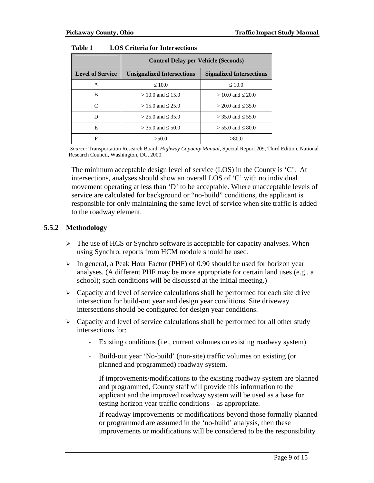|                         | <b>Control Delay per Vehicle (Seconds)</b> |                                 |  |  |
|-------------------------|--------------------------------------------|---------------------------------|--|--|
| <b>Level of Service</b> | <b>Unsignalized Intersections</b>          | <b>Signalized Intersections</b> |  |  |
| A                       | $\leq 10.0$                                | $\leq 10.0$                     |  |  |
| B                       | $> 10.0$ and $\leq 15.0$                   | $> 10.0$ and $\leq 20.0$        |  |  |
| $\subset$               | $> 15.0$ and $\leq 25.0$                   | $>$ 20.0 and $\leq$ 35.0        |  |  |
| D                       | $> 25.0$ and $\leq 35.0$                   | $>$ 35.0 and $\leq$ 55.0        |  |  |
| E                       | $>$ 35.0 and $\leq$ 50.0                   | $> 55.0$ and $\leq 80.0$        |  |  |
| F                       | >50.0                                      | >80.0                           |  |  |

| Table 1 | <b>LOS Criteria for Intersections</b> |  |  |
|---------|---------------------------------------|--|--|
|---------|---------------------------------------|--|--|

 *Source:* Transportation Research Board, *Highway Capacity Manual*, Special Report 209, Third Edition, National Research Council, Washington, DC, 2000.

The minimum acceptable design level of service (LOS) in the County is 'C'. At intersections, analyses should show an overall LOS of 'C' with no individual movement operating at less than 'D' to be acceptable. Where unacceptable levels of service are calculated for background or "no-build" conditions, the applicant is responsible for only maintaining the same level of service when site traffic is added to the roadway element.

#### **5.5.2 Methodology**

- $\triangleright$  The use of HCS or Synchro software is acceptable for capacity analyses. When using Synchro, reports from HCM module should be used.
- ¾ In general, a Peak Hour Factor (PHF) of 0.90 should be used for horizon year analyses. (A different PHF may be more appropriate for certain land uses (e.g., a school); such conditions will be discussed at the initial meeting.)
- $\triangleright$  Capacity and level of service calculations shall be performed for each site drive intersection for build-out year and design year conditions. Site driveway intersections should be configured for design year conditions.
- $\triangleright$  Capacity and level of service calculations shall be performed for all other study intersections for:
	- Existing conditions (i.e., current volumes on existing roadway system).
	- Build-out year 'No-build' (non-site) traffic volumes on existing (or planned and programmed) roadway system.

If improvements/modifications to the existing roadway system are planned and programmed, County staff will provide this information to the applicant and the improved roadway system will be used as a base for testing horizon year traffic conditions – as appropriate.

If roadway improvements or modifications beyond those formally planned or programmed are assumed in the 'no-build' analysis, then these improvements or modifications will be considered to be the responsibility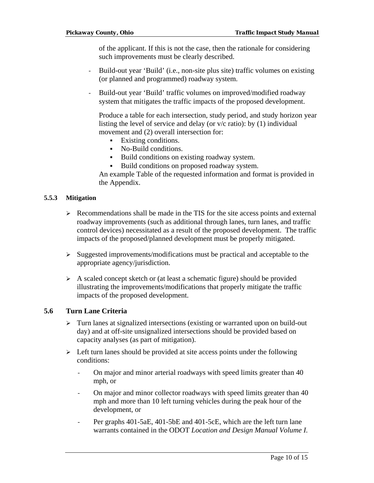of the applicant. If this is not the case, then the rationale for considering such improvements must be clearly described.

- Build-out year 'Build' (i.e., non-site plus site) traffic volumes on existing (or planned and programmed) roadway system.
- Build-out year 'Build' traffic volumes on improved/modified roadway system that mitigates the traffic impacts of the proposed development.

Produce a table for each intersection, study period, and study horizon year listing the level of service and delay (or v/c ratio): by (1) individual movement and (2) overall intersection for:

- Existing conditions.
- No-Build conditions.
- Build conditions on existing roadway system.
- Build conditions on proposed roadway system.

An example Table of the requested information and format is provided in the Appendix.

#### **5.5.3 Mitigation**

- $\triangleright$  Recommendations shall be made in the TIS for the site access points and external roadway improvements (such as additional through lanes, turn lanes, and traffic control devices) necessitated as a result of the proposed development. The traffic impacts of the proposed/planned development must be properly mitigated.
- ¾ Suggested improvements/modifications must be practical and acceptable to the appropriate agency/jurisdiction.
- $\triangleright$  A scaled concept sketch or (at least a schematic figure) should be provided illustrating the improvements/modifications that properly mitigate the traffic impacts of the proposed development.

#### **5.6 Turn Lane Criteria**

- $\triangleright$  Turn lanes at signalized intersections (existing or warranted upon on build-out day) and at off-site unsignalized intersections should be provided based on capacity analyses (as part of mitigation).
- $\triangleright$  Left turn lanes should be provided at site access points under the following conditions:
	- On major and minor arterial roadways with speed limits greater than 40 mph, or
	- On major and minor collector roadways with speed limits greater than 40 mph and more than 10 left turning vehicles during the peak hour of the development, or
	- Per graphs 401-5aE, 401-5bE and 401-5cE, which are the left turn lane warrants contained in the ODOT *Location and Design Manual Volume I.*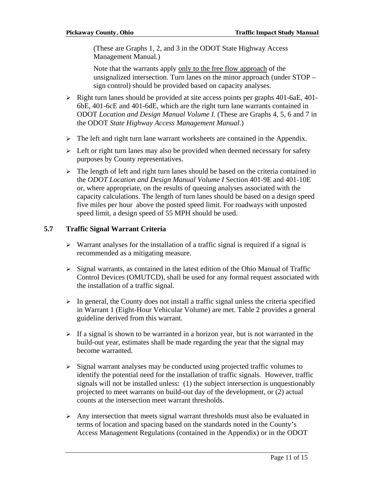(These are Graphs 1, 2, and 3 in the ODOT State Highway Access Management Manual.)

Note that the warrants apply only to the free flow approach of the unsignalized intersection. Turn lanes on the minor approach (under STOP – sign control) should be provided based on capacity analyses.

- $\triangleright$  Right turn lanes should be provided at site access points per graphs 401-6aE, 401-6bE, 401-6cE and 401-6dE, which are the right turn lane warrants contained in ODOT *Location and Design Manual Volume I.* (These are Graphs 4, 5, 6 and 7 in the ODOT *State Highway Access Management Manual*.)
- $\triangleright$  The left and right turn lane warrant worksheets are contained in the Appendix.
- $\triangleright$  Left or right turn lanes may also be provided when deemed necessary for safety purposes by County representatives.
- $\triangleright$  The length of left and right turn lanes should be based on the criteria contained in the *ODOT Location and Design Manual Volume I* Section 401-9E and 401-10E or, where appropriate, on the results of queuing analyses associated with the capacity calculations. The length of turn lanes should be based on a design speed five miles per hour above the posted speed limit. For roadways with unposted speed limit, a design speed of 55 MPH should be used.

#### **5.7 Traffic Signal Warrant Criteria**

- $\triangleright$  Warrant analyses for the installation of a traffic signal is required if a signal is recommended as a mitigating measure.
- $\triangleright$  Signal warrants, as contained in the latest edition of the Ohio Manual of Traffic Control Devices (OMUTCD), shall be used for any formal request associated with the installation of a traffic signal.
- $\triangleright$  In general, the County does not install a traffic signal unless the criteria specified in Warrant 1 (Eight-Hour Vehicular Volume) are met. Table 2 provides a general guideline derived from this warrant.
- $\triangleright$  If a signal is shown to be warranted in a horizon year, but is not warranted in the build-out year, estimates shall be made regarding the year that the signal may become warranted.
- $\triangleright$  Signal warrant analyses may be conducted using projected traffic volumes to identify the potential need for the installation of traffic signals. However, traffic signals will not be installed unless: (1) the subject intersection is unquestionably projected to meet warrants on build-out day of the development, or (2) actual counts at the intersection meet warrant thresholds.
- ¾ Any intersection that meets signal warrant thresholds must also be evaluated in terms of location and spacing based on the standards noted in the County's Access Management Regulations (contained in the Appendix) or in the ODOT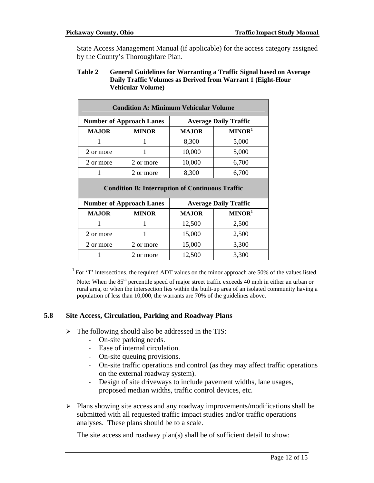State Access Management Manual (if applicable) for the access category assigned by the County's Thoroughfare Plan.

#### **Table 2 General Guidelines for Warranting a Traffic Signal based on Average Daily Traffic Volumes as Derived from Warrant 1 (Eight-Hour Vehicular Volume)**

| <b>Condition A: Minimum Vehicular Volume</b> |                                                        |              |                              |  |  |
|----------------------------------------------|--------------------------------------------------------|--------------|------------------------------|--|--|
|                                              | <b>Number of Approach Lanes</b>                        |              | <b>Average Daily Traffic</b> |  |  |
| <b>MAJOR</b>                                 | <b>MINOR</b>                                           | <b>MAJOR</b> | MINOR <sup>1</sup>           |  |  |
| 1                                            | 1                                                      | 8,300        | 5,000                        |  |  |
| 2 or more                                    |                                                        | 10,000       | 5,000                        |  |  |
| 2 or more                                    | 2 or more                                              | 10,000       | 6,700                        |  |  |
| 1                                            | 2 or more                                              | 8,300        | 6,700                        |  |  |
|                                              | <b>Condition B: Interruption of Continuous Traffic</b> |              |                              |  |  |
|                                              | <b>Number of Approach Lanes</b>                        |              | <b>Average Daily Traffic</b> |  |  |
| <b>MAJOR</b>                                 | <b>MINOR</b>                                           | <b>MAJOR</b> | MINOR <sup>1</sup>           |  |  |
| 1                                            | 1                                                      | 12,500       | 2,500                        |  |  |
| 2 or more                                    |                                                        | 15,000       | 2,500                        |  |  |
| 2 or more                                    | 2 or more                                              | 15,000       | 3,300                        |  |  |
|                                              | 2 or more                                              | 12,500       | 3,300                        |  |  |

 $1$  For 'T' intersections, the required ADT values on the minor approach are 50% of the values listed. Note: When the 85<sup>th</sup> percentile speed of major street traffic exceeds 40 mph in either an urban or rural area, or when the intersection lies within the built-up area of an isolated community having a population of less than 10,000, the warrants are 70% of the guidelines above.

### **5.8 Site Access, Circulation, Parking and Roadway Plans**

- $\triangleright$  The following should also be addressed in the TIS:
	- On-site parking needs.
	- Ease of internal circulation.
	- On-site queuing provisions.
	- On-site traffic operations and control (as they may affect traffic operations on the external roadway system).
	- Design of site driveways to include pavement widths, lane usages, proposed median widths, traffic control devices, etc.
- $\triangleright$  Plans showing site access and any roadway improvements/modifications shall be submitted with all requested traffic impact studies and/or traffic operations analyses. These plans should be to a scale.

The site access and roadway plan(s) shall be of sufficient detail to show: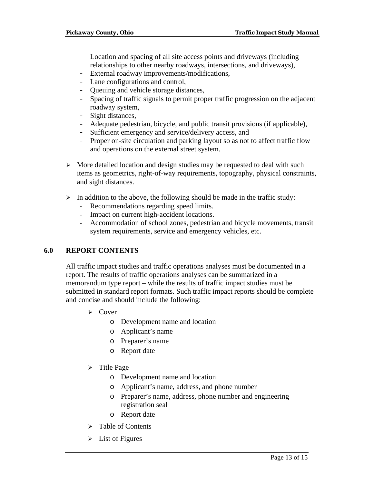- Location and spacing of all site access points and driveways (including relationships to other nearby roadways, intersections, and driveways),
- External roadway improvements/modifications,
- Lane configurations and control,
- Queuing and vehicle storage distances,
- Spacing of traffic signals to permit proper traffic progression on the adjacent roadway system,
- Sight distances,
- Adequate pedestrian, bicycle, and public transit provisions (if applicable),
- Sufficient emergency and service/delivery access, and
- Proper on-site circulation and parking layout so as not to affect traffic flow and operations on the external street system.
- $\triangleright$  More detailed location and design studies may be requested to deal with such items as geometrics, right-of-way requirements, topography, physical constraints, and sight distances.
- $\triangleright$  In addition to the above, the following should be made in the traffic study:
	- Recommendations regarding speed limits.
	- Impact on current high-accident locations.
	- Accommodation of school zones, pedestrian and bicycle movements, transit system requirements, service and emergency vehicles, etc.

# **6.0 REPORT CONTENTS**

All traffic impact studies and traffic operations analyses must be documented in a report. The results of traffic operations analyses can be summarized in a memorandum type report – while the results of traffic impact studies must be submitted in standard report formats. Such traffic impact reports should be complete and concise and should include the following:

- $\triangleright$  Cover
	- o Development name and location
	- o Applicant's name
	- o Preparer's name
	- o Report date
- $\triangleright$  Title Page
	- o Development name and location
	- o Applicant's name, address, and phone number
	- o Preparer's name, address, phone number and engineering registration seal
	- o Report date
- $\triangleright$  Table of Contents
- $\triangleright$  List of Figures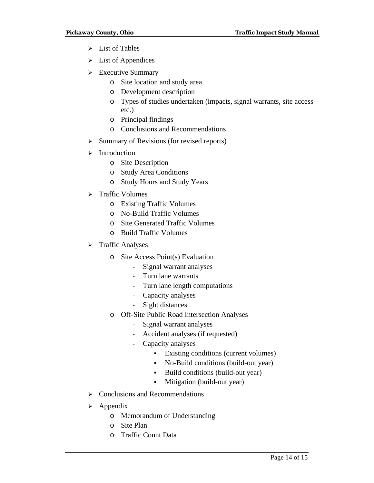- $\triangleright$  List of Tables
- $\triangleright$  List of Appendices
- $\triangleright$  Executive Summary
	- o Site location and study area
	- o Development description
	- o Types of studies undertaken (impacts, signal warrants, site access etc.)
	- o Principal findings
	- o Conclusions and Recommendations
- $\triangleright$  Summary of Revisions (for revised reports)
- $\blacktriangleright$  Introduction
	- o Site Description
	- o Study Area Conditions
	- o Study Hours and Study Years
- ¾ Traffic Volumes
	- o Existing Traffic Volumes
	- o No-Build Traffic Volumes
	- o Site Generated Traffic Volumes
	- o Build Traffic Volumes
- > Traffic Analyses
	- o Site Access Point(s) Evaluation
		- Signal warrant analyses
		- Turn lane warrants
		- Turn lane length computations
		- Capacity analyses
		- Sight distances
	- o Off-Site Public Road Intersection Analyses
		- Signal warrant analyses
		- Accident analyses (if requested)
		- Capacity analyses
			- Existing conditions (current volumes)
			- No-Build conditions (build-out year)
			- Build conditions (build-out year)
			- Mitigation (build-out year)
- $\triangleright$  Conclusions and Recommendations
- $\triangleright$  Appendix
	- o Memorandum of Understanding
	- o Site Plan
	- o Traffic Count Data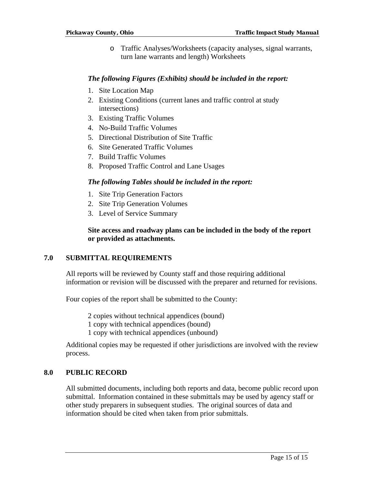o Traffic Analyses/Worksheets (capacity analyses, signal warrants, turn lane warrants and length) Worksheets

#### *The following Figures (Exhibits) should be included in the report:*

- 1. Site Location Map
- 2. Existing Conditions (current lanes and traffic control at study intersections)
- 3. Existing Traffic Volumes
- 4. No-Build Traffic Volumes
- 5. Directional Distribution of Site Traffic
- 6. Site Generated Traffic Volumes
- 7. Build Traffic Volumes
- 8. Proposed Traffic Control and Lane Usages

#### *The following Tables should be included in the report:*

- 1. Site Trip Generation Factors
- 2. Site Trip Generation Volumes
- 3. Level of Service Summary

#### **Site access and roadway plans can be included in the body of the report or provided as attachments.**

### **7.0 SUBMITTAL REQUIREMENTS**

All reports will be reviewed by County staff and those requiring additional information or revision will be discussed with the preparer and returned for revisions.

Four copies of the report shall be submitted to the County:

2 copies without technical appendices (bound)

- 1 copy with technical appendices (bound)
- 1 copy with technical appendices (unbound)

Additional copies may be requested if other jurisdictions are involved with the review process.

#### **8.0 PUBLIC RECORD**

All submitted documents, including both reports and data, become public record upon submittal. Information contained in these submittals may be used by agency staff or other study preparers in subsequent studies. The original sources of data and information should be cited when taken from prior submittals.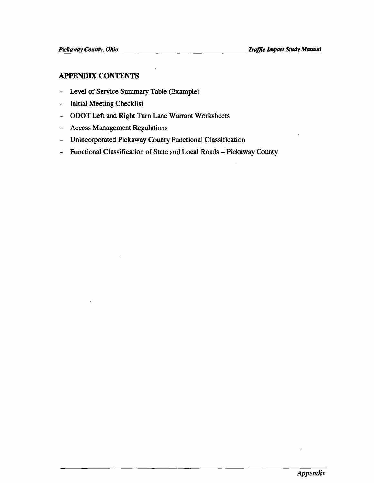# **APPENDIX CONTENTS**

- **Level of Service Summary Table (Example)**
- **Initial Meeting Checklist**
- **ODOT Left and Right Turn Lane Warrant Worksheets**
- **Access Management Regulations**
- **Unincorporated Pickaway County Functional Classification**
- **Functional Classification of State and Local Roads Pickaway County**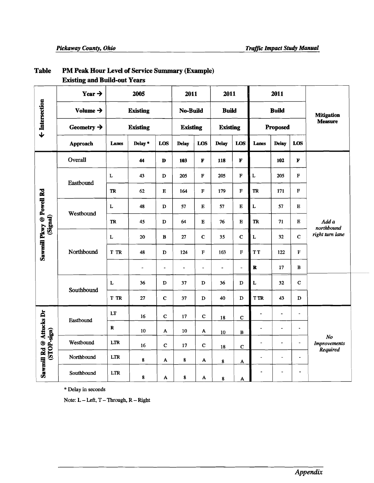|                                          | L'ABULLE QUE D'ONC-VIL I VILS |                                    |                 |                 |                 |                                 |                              |                         |                          |                          |                   |                                                   |
|------------------------------------------|-------------------------------|------------------------------------|-----------------|-----------------|-----------------|---------------------------------|------------------------------|-------------------------|--------------------------|--------------------------|-------------------|---------------------------------------------------|
| ← Intersection                           | Year $\rightarrow$            |                                    | 2005            |                 | 2011            |                                 | 2011                         |                         |                          | 2011                     |                   |                                                   |
|                                          | Volume $\rightarrow$          |                                    |                 | <b>Existing</b> |                 | <b>No-Build</b><br><b>Build</b> |                              | <b>Build</b>            |                          |                          | <b>Mitigation</b> |                                                   |
|                                          | Geometry $\rightarrow$        |                                    | <b>Existing</b> |                 | <b>Existing</b> |                                 | <b>Existing</b>              |                         |                          | <b>Proposed</b>          |                   | <b>Measure</b>                                    |
|                                          | Approach                      | Lanes                              | Delay*          | LOS             | <b>Delay</b>    | LOS                             | <b>Delay</b>                 | LOS                     | Lanes                    | <b>Delay</b>             | LOS               |                                                   |
|                                          | Overall                       |                                    | 44              | $\mathbf D$     | 103             | $\mathbf F$                     | 118                          | $\overline{\mathbf{F}}$ |                          | 102                      | $\mathbf F$       |                                                   |
|                                          | Eastbound                     | L                                  | 43              | $\mathbf D$     | 205             | ${\bf F}$                       | 205                          | $\mathbf F$             | $\mathbf L$              | 205                      | ${\bf F}$         |                                                   |
|                                          |                               | TR                                 | 62              | ${\bf E}$       | 164             | $\mathbf F$                     | 179                          | $\mathbf F$             | ${\bf TR}$               | 171                      | F                 |                                                   |
| Sawmill Pkwy @ Powell Rd                 | Westbound                     | $\mathbf L$                        | 48              | $\mathbf D$     | 57              | $\bf E$                         | 57                           | $\overline{E}$          | $\mathbf L$              | 57                       | $\mathbf{E}$      |                                                   |
| (Signal)                                 |                               | TR                                 | 45              | $\mathbf D$     | 64              | $\bf E$                         | 76                           | $\bf E$                 | ${\rm \bf TR}$           | 71                       | $\bf E$           | Add a<br>northbound                               |
|                                          | Northbound                    | $\mathbf L$                        | 20              | $\, {\bf B}$    | 27              | $\mathbf{C}$                    | 35                           | $\mathbf C$             | $\mathbf L$              | 32                       | $\mathbf{C}$      | right turn lane                                   |
|                                          |                               | T TR                               | 48              | D               | 124             | ${\bf F}$                       | 163                          | $\mathbf F$             | <b>TT</b>                | 122                      | $\mathbf F$       |                                                   |
|                                          |                               |                                    | $\overline{a}$  | $\blacksquare$  | $\blacksquare$  | $\overline{\phantom{a}}$        | $\qquad \qquad \blacksquare$ | $\frac{1}{2}$           | $\mathbf R$              | 17                       | B                 |                                                   |
|                                          | Southbound                    | L                                  | 36              | $\mathbf D$     | 37              | D                               | 36                           | D                       | $\mathbf L$              | 32                       | $\mathbf C$       |                                                   |
|                                          |                               | <b>T TR</b>                        | $\bf 27$        | $\mathbf C$     | 37              | $\mathbf D$                     | 40                           | $\mathbf D$             | <b>T TR</b>              | 43                       | $\mathbf D$       |                                                   |
|                                          | Eastbound                     | LT                                 | 16              | $\mathbf C$     | 17              | $\mathbf C$                     | ${\bf 18}$                   | $\mathbf C$             | $\overline{a}$           | $\blacksquare$           | $\blacksquare$    |                                                   |
| Sawmill Rd @ Attucks Dr<br>$(STOP-sign)$ |                               | $\bf R$                            | 10              | A               | $10\,$          | $\boldsymbol{\mathsf{A}}$       | $10\,$                       | $\, {\bf B}$            | $\blacksquare$           | $\blacksquare$           | $\omega$          |                                                   |
|                                          | Westbound                     | <b>LTR</b>                         | 16              | $\mathbf C$     | 17              | $\mathbf C$                     | 18                           | $\mathbf C$             | $\overline{\phantom{a}}$ |                          | $\blacksquare$    | N <sub>o</sub><br><b>Improvements</b><br>Required |
|                                          | Northbound                    | $\ensuremath{\mathsf{LTR}}\xspace$ | 8               | A               | $\bf 8$         | A                               | $\bf8$                       | ${\bf A}$               | L.                       | $\blacksquare$           | $\blacksquare$    |                                                   |
|                                          | Southbound                    | $\ensuremath{\text{LTR}}$          | 8               | A               | 8               | A                               | $\bf 8$                      | A                       |                          | $\overline{\phantom{a}}$ | ÷                 |                                                   |

#### PM Peak Hour Level of Service Summary (Example) **Table**

**Existing and Build-out Years** 

\* **Delay in seconds** 

**Note: L** - kft, **T** - **Through, R** - **Right**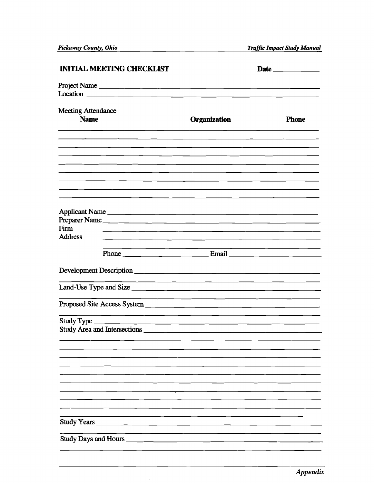| <b>INITIAL MEETING CHECKLIST</b>                                                                                                        |                     |              |
|-----------------------------------------------------------------------------------------------------------------------------------------|---------------------|--------------|
|                                                                                                                                         |                     |              |
|                                                                                                                                         |                     |              |
| <b>Meeting Attendance</b>                                                                                                               |                     |              |
| <b>Name</b>                                                                                                                             | <b>Organization</b> | <b>Phone</b> |
|                                                                                                                                         |                     |              |
|                                                                                                                                         |                     |              |
|                                                                                                                                         |                     |              |
|                                                                                                                                         |                     |              |
| <u> 1990 - Jan Samuel Barnett, amerikan berlindako bat erama (h. 1980).</u>                                                             |                     |              |
| <u> 1980 - Jan Barnett, fransk politik (d. 1980)</u>                                                                                    |                     |              |
| Applicant Name                                                                                                                          |                     |              |
| Preparer Name<br>Firm                                                                                                                   |                     |              |
| <u> 1990 - Johann Johann Stoff, deutscher Stoff und der Stoff und der Stoff und der Stoff und der Stoff und der S</u><br><b>Address</b> |                     |              |
|                                                                                                                                         |                     |              |
|                                                                                                                                         |                     |              |
|                                                                                                                                         |                     |              |
|                                                                                                                                         |                     |              |
|                                                                                                                                         |                     |              |
|                                                                                                                                         |                     |              |
|                                                                                                                                         |                     |              |
|                                                                                                                                         |                     |              |
|                                                                                                                                         |                     |              |
|                                                                                                                                         |                     |              |
|                                                                                                                                         |                     |              |
|                                                                                                                                         |                     |              |
|                                                                                                                                         |                     |              |
|                                                                                                                                         |                     |              |
| Study Years _                                                                                                                           |                     |              |
| Study Days and Hours ______                                                                                                             |                     |              |
|                                                                                                                                         |                     |              |

 $\bar{z}$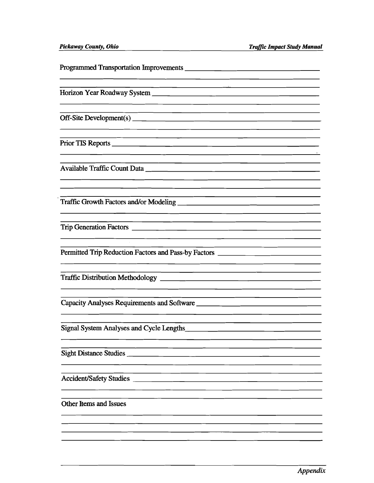Programmed Transportation Improvements Horizon Year Roadway System Off-Site Development(s) Prior TIS Reports Available Traffic Count Data Traffic Growth Factors andfor Modeling <u> 1989 - Johann John Stone, mars eta biztanleria (h. 1989).</u> Trip Generation Factors Permitted Trip Reduction Factors and Pass-by Factors Traffic Distribution Methodology Capacity Analyses Requirements and Software Signal System Analyses and Cycle Lengths Sight Distance Studies <u> 1999 - Johann Barbara, martxa alemaniar poeta esperanto-</u> AccidentlSafety Studies Other Items and Issues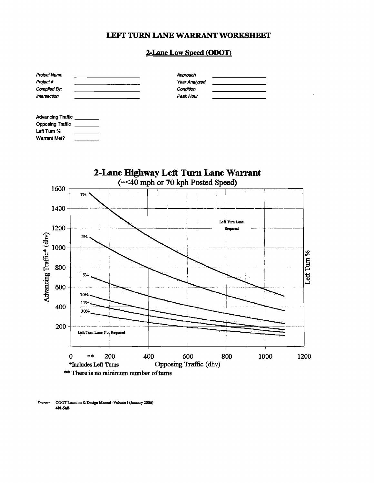# LEFI' **TURN LANE WARRANT WORKSHEET**

#### **2-Lane Low Speed (ODOT)**

| <b>Project Name</b> | Approach      |  |
|---------------------|---------------|--|
| Project #           | Year Analyzed |  |
| Complied By:        | Condition     |  |
| <b>Intersection</b> | Peak Hour     |  |
|                     |               |  |
|                     |               |  |

| <b>Advancing Traffic</b> |  |
|--------------------------|--|
| <b>Opposing Traffic</b>  |  |
| Left Tum %               |  |
| Warrant Met?             |  |



*Source:* **ODOT** Location **&Design Manual -Volom I (January 2006) 401-5.E**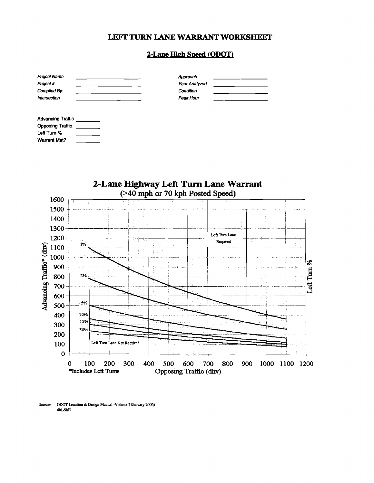#### LEFI' **TURN LANE WARRANT WORKSHEET**

#### **2-Lane High Speed (ODOT)**

| <b>Project Name</b><br>Project #<br>Compiled By:<br><b>Intersection</b> | Approach<br>Year Analyzed<br>Condition<br>Peak Hour |  |
|-------------------------------------------------------------------------|-----------------------------------------------------|--|
| <b>Advancing Traffic</b>                                                |                                                     |  |



**Source: ODOT Location & Design Manual -Volume I (January 2006) 401-5bE** 

**Opposing Traffic Lefl Turn** % **Warrant Met?**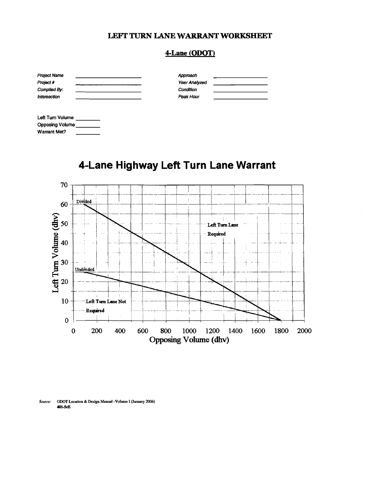#### LEFI' TURN **LANE WARRANT WORKSHEET**

## **4-Lane (ODOT)**

| Approach      |  |
|---------------|--|
| Year Analyzed |  |
| Condition     |  |
| Peak Hour     |  |
|               |  |
|               |  |

| Left Turn Volume       |  |
|------------------------|--|
| <b>Opposing Volume</b> |  |
| <b>Warrant Met?</b>    |  |

# **4-Lane Highway Left Turn Lane Warrant**



*Source:* **ODOT Location &Design Manual -Volume I (January 2006) 401-5fE**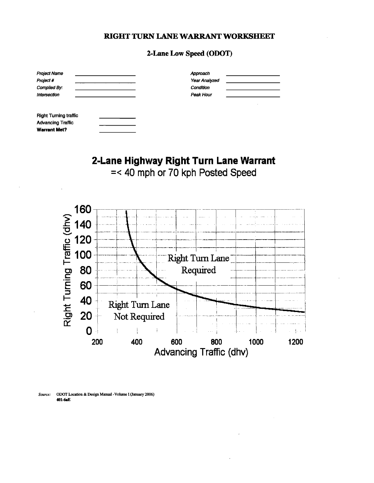# **2-Lane Low Speed (ODOT)**

| <b>Project Name</b><br>Project #<br>Compiled By:                                | Approach<br>Year Analyzed<br>Condition |  |
|---------------------------------------------------------------------------------|----------------------------------------|--|
| Intersection                                                                    | Peak Hour                              |  |
|                                                                                 |                                        |  |
| <b>Right Turning traffic</b><br><b>Advancing Traffic</b><br><b>Warrant Met?</b> |                                        |  |

# **2-Lane Highway Right Turn Lane Warrant**

=< 40 mph or 70 kph Posted Speed



*Source:* **OWT Location &Design Manual -Volume I (January 2006) 401-6E**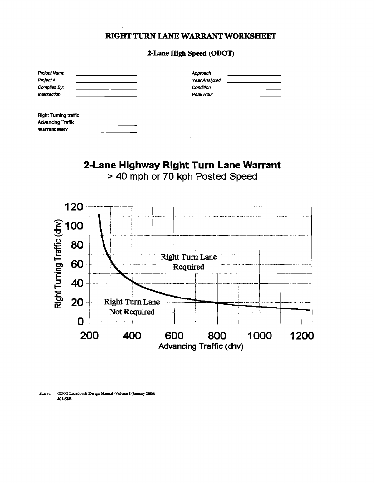### 2-Lane High Speed (ODOT)

| <b>Project Name</b><br>Project #<br>Complied By:<br><b>Intersection</b>        | Approach<br>Year Analyzed<br>Condition<br>Peak Hour |  |
|--------------------------------------------------------------------------------|-----------------------------------------------------|--|
| <b>Right Tuming traffic</b><br><b>Advancing Traffic</b><br><b>Warrant Met?</b> |                                                     |  |

# 2-Lane Highway Right Turn Lane Warrant > 40 mph or 70 kph Posted Speed



ODOT Location & Design Manual -Volume I (January 2006) Source: 401-6bE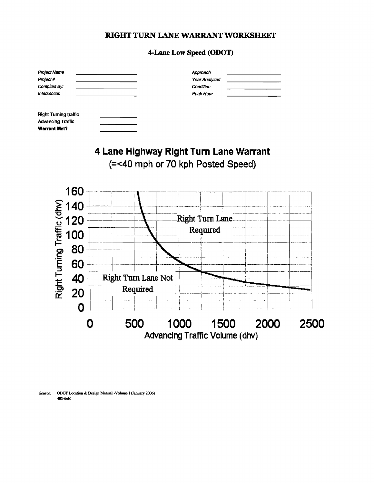## **4-Lane Low Speed (ODOT)**

| Project Name<br>Project #<br>Compiled By:<br>Intersection                |                                        |                                       |                 | Approach<br>Year Analyzed<br>Condition<br>Poak Hour |      |             |             |  |
|--------------------------------------------------------------------------|----------------------------------------|---------------------------------------|-----------------|-----------------------------------------------------|------|-------------|-------------|--|
| <b>Right Turning traffic</b><br><b>Advancing Traffic</b><br>Warrant Met? |                                        |                                       |                 |                                                     |      |             |             |  |
|                                                                          | 4 Lane Highway Right Turn Lane Warrant | (=<40 mph or 70 kph Posted Speed)     |                 |                                                     |      |             |             |  |
| 160<br>140                                                               |                                        |                                       |                 |                                                     |      |             |             |  |
| Right Turning Traffic (dhv)<br>120<br>100                                |                                        |                                       | Right Turn Lane | Required                                            |      |             |             |  |
| 80<br>60                                                                 |                                        |                                       |                 |                                                     |      |             |             |  |
| 40<br>20<br>Ω                                                            |                                        | Right Turn Lane Not<br>Required       |                 |                                                     |      |             |             |  |
|                                                                          | 500                                    | <b>Advancing Traffic Volume (dhv)</b> | 1000            |                                                     | 1500 | <b>2000</b> | <b>2500</b> |  |

*Source:* **ODOT Lacation &Design Manual -Volume I (January 2006) 401-6s**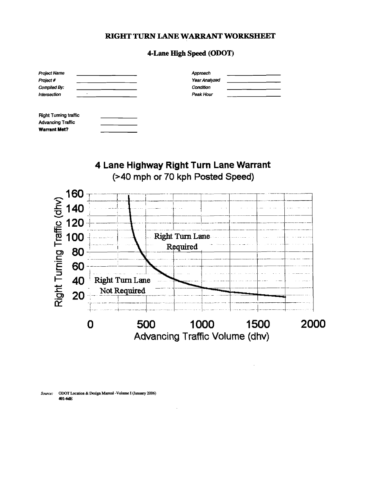### **4-Lane High Speed (ODOT)**

| <b>Project Name</b><br>Project #<br>Compiled By:<br>Intersection<br>٠          | Approach<br>Year Analyzed<br>Condition<br>Peak Hour |  |
|--------------------------------------------------------------------------------|-----------------------------------------------------|--|
| <b>Right Tuming traffic</b><br><b>Advancing Traffic</b><br><b>Warrant Met?</b> |                                                     |  |

# **4 Lane Highway Right Turn Lane Warrant (240 mph or 70 kph Posted Speed)**



**Source: ODOT Location &Design Manual -Volume I (January 2006) 401-6dE**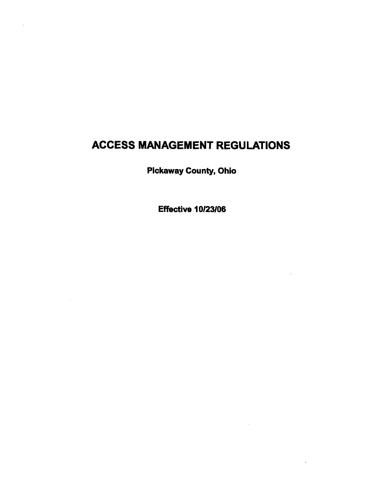# **ACCESS MANAGEMENT REGULATIONS**

**Pickaway County, Ohio** 

**Effective 10/23/06**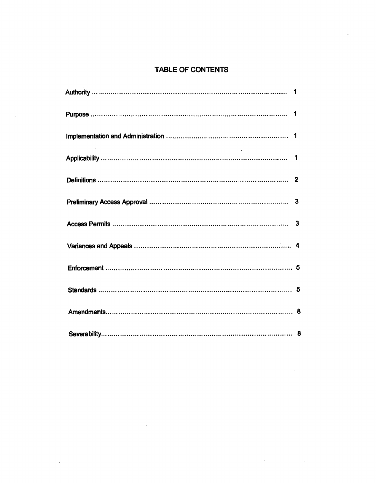# TABLE OF CONTENTS

 $\mathcal{L}$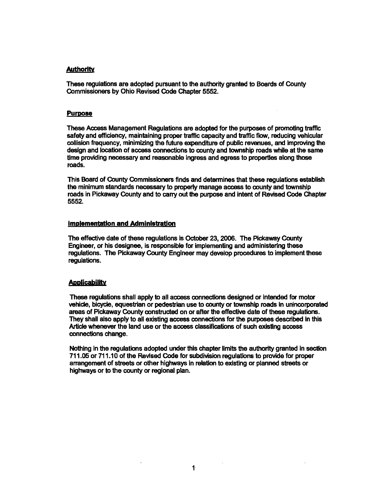#### **Authority**

These regulations are adopted pursuant to the authority granted to Boards of County Commissioners by Ohio Revised Code Chapter 5552.

#### **Purpose**

These Access Management Regulations are adopted for the purposes of promoting traffic safety and efficiency, maintaining proper traffic capacity and traffic flow, reducing vehicular collision frequency, midmizing the future expenditure of public revenues, and improving the design and location of access connections to county and township roads while at the same time providing necessary and reasonable ingress and egress to properties along those roads.

This Board of County Commissioners finds and determines that these regulations establish the minimum standards necessary to properly manage access to county and township roads in Pickaway County and to carry out the purpose and intent of Revised Code Chapter 5552.

#### **Implementation and Administration**

The effective date of these regulations is October 23,2006. The Pickaway County Engineer, or his designee, is responsible for implementing and administering these regulations. The Pickaway County Engineer may develop procedures to implement these regulations.

#### **Applicability**

'These regulations shall apply to all access connections designed or intended for motor vehicle, bicyde, equestrian or pedestrian use to *county* or township roads in unincorporated areas of Pickaway County constructed on or after the effective date of these regulations. They shall also apply to all existing access connections for **the** purposes described In this Article whenever the land use or the access classifications of such existing access connections change.

Nothing in the regulations adopted under this chapter limits the authority granted in section 71 1.05 or 71 1.1 0 of the Revised Code for subdivision regulations to provide for proper arrangement of streets or other highways in relation to existing or planned streets or highways or to the county or regional plan.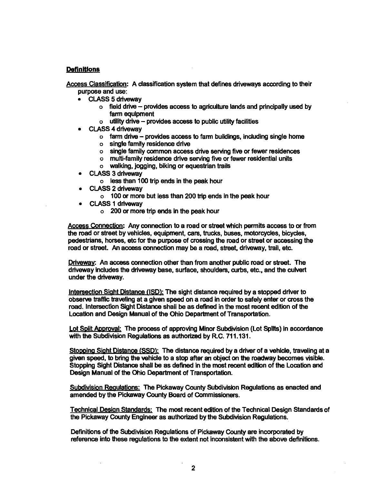#### **Definitions**

Access Classification: A classification system that defines driveways according to their purpose and use:

- CLASS 5 driveway
	- **<sup>o</sup>**field drive provides access to agriculture lands and principally used by farm equipment
	- **<sup>o</sup>**utility drive provides access to public utilty facilities
- CLASS 4 driveway
	- o farm drive provides access to farm buildings, including single home
	- o single family residence drive
	- o single family common access drive senring five or fewer residences
	- o multi-family residence drive serving five or fewer residential units
	- o walking, jogging, biking or equestrian trails
- CLASS 3 driveway
	- o less than **100** trip ends in the peak hour
- CLASS 2 driveway
	- **o 100** or more but less than 200 trip ends in the peak hour
- CLASS **1** driveway
	- o 200 or more trip ends in the peak hour

Access Connection: Any connection to a road or street which permits access to or from the road or street by vehicles, equipment, cars, trucks, buses, motorcycles, bicycles, pedestrians, horses, etc for the purpose of crossing the road or street or accessing the road or street. An access connection may be a road, street, driveway, trail, etc.

Driveway: An access connection other than from another public road or street. The driveway includes the driveway base, surface, shoulders, curbs, etc., and the culvert under the driveway.

Intersection Sight Distance (ISD): The sight distance required by a stopped driver to obsenre traffic traveling at a given speed on a road in order to safely enter or cross the road. Intersection Sight Distance shall be as defined in the most recent edition of the Location and Design Manual of the Ohio Department of Transportation.

Lot Split Approval: The process of approving Minor Subdivision (Lot Splits) in accordance with the Subdivision Regulations as authorized by R.C. 711.131.

Stopping Sight Distance *(SSD)*: The distance required by a driver of a vehicle, traveling at a given speed, to bring the vehicle to a stop after an object on the roadway becomes visible. Stopping Sight Distance shall be as defined in the most recent edition of the Location and Design Manual of the Ohio Department of Transportation.

Subdivision Regulations: The Pickaway County Subdivision Regulations as enacted and amended by the Pickaway County Board of Commissioners.

Technical Desian Standards: The most recent edition of the Technical Design Standards of the Pickaway County Engineer as authorized by the Subdivision Regulations.

Definitions of the Subdivision Regulations of Pickaway County are incorporated by reference into these regulations to the extent not inconsistent with the above definitions.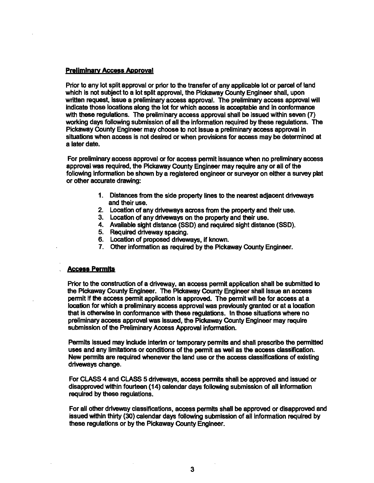#### **Preliminary Access Approval**

Prior to any lot split approval or prior to the transfer of any applicable lot or parcel of land which is not subject to a lot split approval, the Pickaway County Engineer shall, upon written request, issue a preliminary access approval. The preliminary access approval will indicate those locations along the lot for which access is acceptable and in conformance with these regulations. The preliminary access approval shall be Issued within seven (7) working days following submission of all the information required by these regulations. The Pickaway County Engineer may choose to not issue a preliminary access approval in situations when access is not desired or when provisions for access may be determined at a later date.

For preliminary access approval or for access permit issuance when no preliminary access approval was required, the Pickaway County Engineer may require any or all of the following Information be shown by a registered engineer or surveyor on either a survey plat or other accurate drawing:

- 1. Distances from the side property lines to the nearest adjacent driveways and their use.
- 2. Location of any driveways across from the property and thelr use.
- 3. Location of any driveways on the property and their use.
- 4. Available sight distance (SSD) and required sight distance (SSD).
- 5. Required driveway spacing.
- 6. Location of proposed driveways, if known.
- 7. Other information as required by the Pickaway County Engineer.

#### **Access Permits**

Prior to the construction of a driveway, an access permit application shall be submitted to the Pickaway County Engineer. 'The Pickaway County Engineer shall issue an access permit if the access permit application is approved. The permit will be for access at a location for which a preliminary access approval was previously granted or at a location that is otherwise in conformance with these regulations. In those situations where no preliminary access approval was issued, the Pickaway County Engineer may require submission of the Preliminary Access Approval information.

Permits lssued may indude lnterlm or temporary permits and shall prescribe the permitted uses and any limitations or conditions of the permit as well as the access classification. New permits are required whenever the land use or the access classifications of existing driveways change.

For CLASS 4 and CLASS 5 driveways, access permits shall be approved and issued or disapproved within fourteen (14) calendar days following submission of all information required by these regulations.

For all other driveway classifications, access permfts shall be approved or disapproved and issued within thirty (30) calendar days following submission of all information requlred by these regulations or by the Pickaway County Engineer.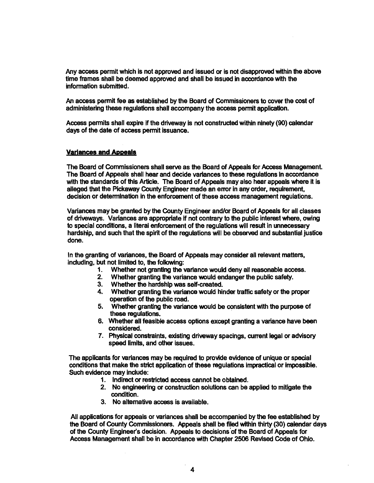Any access permit which is not approved and issued or is not disapproved within the above time frames shall be deemed approwd and shall be issued in accordance with the information submitted.

An access permit fee as established by the Board of Commissioners to cover the cost of administering these regulations shall accompany the access permit application.

Access permits shall expire if the driveway is not constructed within ninety (90) calendar days of the date of access permit issuance.

#### **Variances and Appeals**

The Board of Commissioners shall serve as the Board of Appeals for Access Management. The Board of Appeals shall hear and decide variances to these regulations in accordance with the standards of this Article. The Board of Appeals may also hear appeals where it is alleged that the Pickaway County Engineer made an error in any order, requirement, decision or determination in the enforcement of these access management regulations.

Variances may be granted by the County Engineer andlor Board of Appeals for all classes of driveways. Variances are appropriate if not contrary to the public interest where, owing to special conditions, a literal enforcement of the regulations will result in unnecessary hardship, and such that the spirit of the regulations will be observed and substantial justice done.

In the granting of variances, the Board of Appeals may consider all relevant matters, including. but not limited to, the following:

- **1.** Whether not granting **the** variance would deny all reasonable access.
- **2.** Whether granting the variance would endanger the public safety.
- **3.** Whether the hardship was self-created.
- **4.** Whether granting the variance would hinder traffic safety or the proper operation of the public road.
- **5.** Whether granting the variance would be consistent with the purpose of these regulations.
- 6. Whether all feasible access options except granting a variance have been considered.
- 7. Physical constraints, existing driveway spacings, current legal **or** advisory speed limits, and other issues.

'The applicants for variances may be required to provide evidence of unique or special conditions that make the strict application of these regulations impractical or impossible. Such evidence may include:

- 1. Indirect **or** restricted access cannot be obtained.
- 2. No engineering or construction solutions can be applied to mitigate the condition.
- **3.** No alternative access is available.

All applications for appeals or variances shall be accompanied by the fee established by the Board of County Commissioners. Appeals shall be filed within thirty **(30)** calendar days of the County Engineer's decision. Appeals to decisions'of the Board of Appeals for Access Management shall be in accordance with Chapter 2506 Revised Code of Ohio.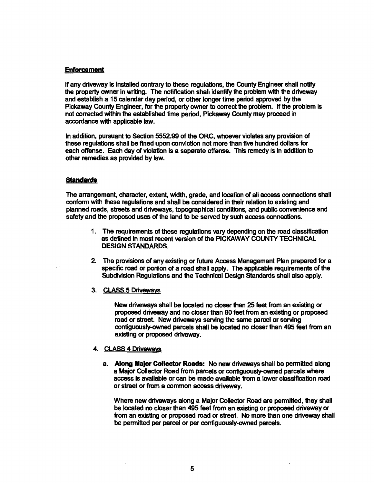#### **Enforcement**

If any driveway is Installed contrary to these regulations, the County Engineer shall notify the property owner in writing. The notification shall identify the problem with the driveway and establish a **15** calendar day **period,** or other longer time period approved by the Pickaway County Engineer, for the property owner to correct the problem. If the problem is not corrected within the established time period, Pickaway County may proceed in accordance with applicable law.

In addition, pursuant to Section **5552.99** of the ORC, whoever violates any provision of these regulations shall be fined upon conviction not more than five hundred dollars for each offense. Each day of violation is a separate offense. This remedy is In addition to other remedies as provided by law.

#### **Standards**

The arrangement, character, extent, width, grade, and location of all access connections shall conform with these regulations and shall be considered in their relation to existing and planned roads, streets and driveways, topographical conditions, and public convenience and safety and the proposed uses of the land to be sewed by such access connections.

- **1.** The requirements of these regulations vary depending on the road classification as defined In most recent version of the PICKAWAY COUNTY TECHNICAL DESIGN STANDARDS.
- 2. The provisions of any existing or future Access Management Plan prepared for a specific road or portion of a road shall apply. The applicable requirements of the Subdivision Regulations and the Technical Design Standards shall also apply.
- 3. CLASS **5** Drivewavs

New driveways shall be located no **closer** than **25** feet from an existirlg or proposed driwway and no cbser than 80 feet from an existing or proposed road or street. New driveways serving the same parcel or serving contiguously-owned parcels shall be located no closer than 495 feet from an existing or proposed driveway.

#### 4. CLASS 4 Driveways

a. Along, Major **Cdledor** Roads: No new driveways shall be permitted along a Major Collector Road from parcels or contiguously-owned parcels where access is available or can be made available from a lower classification road or street or from a common access driveway.

Where new driveways along a Major Collector Road are permitted, they shall be located no cbser than **495** feet from an existing or proposed driveway or from an existing or proposed road or street. No more than one driveway shall be permitted per parcel or per contiguously-cwned parcels.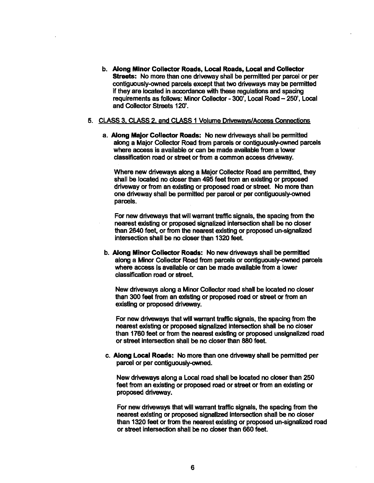b. Along Minor Collector Roads, Local Roads, Local and Collector Streets: No more than one driveway shall be permitted per parcel or per contiguously-owned parcels except that two driveways may be permitted if they are located in accordance with these regulations and spacing requirements as follows: Minor Collector - **300',** Local Road - **250',** Local and Collector Streets **120'.** 

#### **5. CLASS 3, CLASS 2, and CLASS 1 Volume Driveways/Access Connections**

a. Along Major Collector Roads: No new driveways shall be permitted along a Major Collector Road from parcels or contiguously-owned parcels where access is available or can be made available from a lower classification road or street or from a common access driveway.

Where new driveways along a Major Collector Road are permitted, they shall be located no closer than 495 feet from an existing or proposed driveway or from an existing or proposed road or street. No more than one driveway shall be permitted per parcel or per contiguously-owned parcels.

For new driveways that will warrant traffic signals, the spacing from the nearest existing or proposed signalized intersection shall be no doser than **2640** feet, or from the nearest existing or proposed un-signalized intersection shall be no closer than **1320** feet.

b. Along Minor Collector Roads: No new driveways shall be permitted along a Minor Collector Road from parcels or contiguously-owned parcels where access is available or can be made available from a lower classification road or street.

New driveways along a Minor Collector mad shall be located no closer than 300 feet from an existing or proposed road or street or from an existing or proposed driveway.

For new driveways that will warrant trafflc signals, the spacing from the nearest existing or proposed signalized intersection shall be no closer than 1760 feet or from the nearest existing or proposed unsignalized road or street intersection shall be no closer than **880** feet.

c. Along Local Roads: No more than one driveway shall be permitted per parcel or per contiguously-owned.

New driveways along a Local road shall be located no closer than **250**  feet from an existing or proposed road or street or from an existing or proposed driveway.

For new driveways that will warrant traffic signals, the spacing from the nearest existing or proposed signdllzed Intersection shall be no closer than **1320** feet or **from** the nearest existing or proposed un-signalized road or street intersection shall be no closer than **660** feet.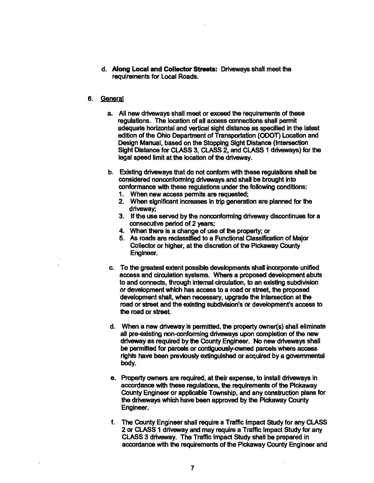- d. Along Local and Collector Streets: Driveways shall meet the requirements for Local Roads.
- 6. General
	- a. All new driveways shall meet or exceed the requirements **of** these regulations. 'The location of all access connections shall permit adequate horizontal and vertical sight distance as specified in the latest edition of the Ohio Department of Transportation (ODOT) Location and Design Manual, based on the Stopping Sight Distance (Intersection Sight Distance for CLASS 3, CLASS 2, and CLASS 1 driveways) for **the**  legal speed limit at the location of the driveway.
	- b. Existing driveways that do not conform with these regulations shall be considered nonconforming driveways and shall be brought into conformance with these regulations under **the** following conditions:
		- 1. When new access permits are requested;
		- 2. When significant increases in trip generation are planned for the driveway;
		- 3. If the use served by the nonconforming driveway discontinues for a consecutive period of 2 years;
		- 4. When there is a change of use **of** the property; or
		- 5. As roads are reclassified to a Functional Classification of Major Collector or higher, at the discretion of **the** Pickaway County Engineer.
	- c. To the greatest extent possible developments shall incorporate unified access and circulation systems. Where a proposed development abuts to and connects, through internal circulation, to an existing subdivision or development which has access to a road or street, **the** proposed development shall, when necessary, upgrade the Intersection at **the**  road **or** street and the existing subdivision's or development's access to **the** road or street.
	- d. When a new driveway is permitted, **the** property owner(s) shall eliminate all pre-existing non-conforming driveways upon completion of the new driveway as required by the County Engineer. No new driveways shall be permitted for parcels **or** contiguously-owned parcels where access rights have been previously extinguished or acquired by a governmental body.
	- e. Property owners are required, at their expense, to install driveways in accordance with these regulations, the requirements of **the** Pickaway County Engineer or applicable Township, and any construction plans for the driveways which have been approved by the Pickaway County Engineer.
	- f. The County Engineer shall require a Traffic Impact Study for any CLASS 2 or CLASS 1 driveway and may require a Traffic Impact Study for any CLASS 3 driveway. The Traffic lmpact Study shall be prepared in accordance with **the** requirements of the Pickaway County Engineer and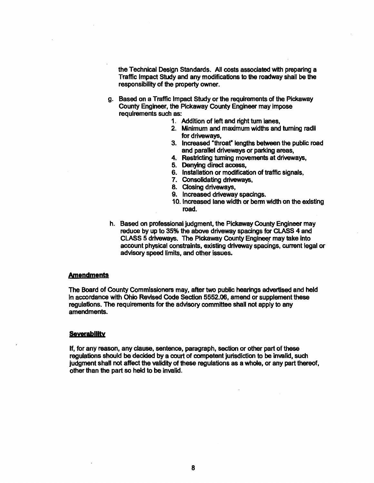the Technical Design Standards. All costs associated with preparing a Traffic Impact Study and any modifications to the roadway shall be **the**  responsibility of the property owner.

- g. Based on a Traffic Impact Study or the requirements of the Pickaway County Engineer, the Pickaway County Engineer may impose requirements such as:
	- 1. Addition of left and right turn lanes.
	- 2. Minimum and maximum widths and turning radii for driveways,
	- 3. Increased 'throat" lengths between the public road and parallel driveways or parking areas,
	- 4. Restricting turning movements at driveways,
	- 5. Denying direct access,
	- 6. Installation or modification of traffic signals,
	- 7. Consolidating driveways,
	- 8. Closing driveways,
	- 9. lncreased driveway spacings.
	- **10.** Increased lane width or berm width on the existing road.
- h. Based on professional judgment, the Pickaway County Engineer may reduce by up to 35% the above driveway spacings for CLASS 4 and CLASS 5 driveways. The Pickaway County Engineer may take into account physical constraints, existing driveway spacings, current legal or advisory speed limits, and other issues.

#### **Amendments**

The Board of County Commissioners may, after **two** public hearings advertised and held in accordance with Ohio Revised Code Section 5552.06, amend or supplement these regulations. The requirements for the advisory committee shall not apply to any amendments.

#### **Severability**

If, for any reason, any clause, sentence, paragraph, section or other part of **these**  regulations should be decided by a court of competent jurisdiction to be invalid, such judgment shall not affect the validity of these regulations as a whole, or any part thereof, other than the part so held to be invalid.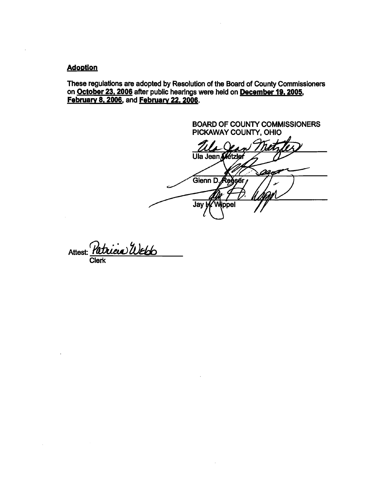#### **Adoption**

**These regulations are adopted by Resolution of the Board of County Commissioners on October 23,2006 after public hearings were held on December 19,2005, February 8, 2006, and February 22, 2006.** 

**BOARD OF COUNTY COMMISSIONERS PICKAWAY COUNTY, OHIO**  Ula Jean Métzler 22 A **Glenn D** eðsér  $\overrightarrow{Jay}$ Wippel

Attest: *Patricia U* **Clerk**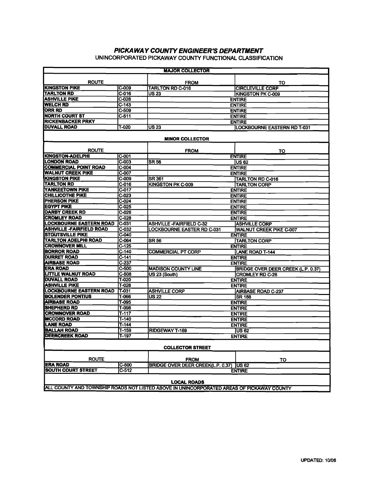# **PICKAWAY COUNTY ENGINEER'S DEPARTMENT**

|                                                                                                                                                                                                                                                      |                                 | PICKAWAY COUNTY ENGINEER'S DEPARTMENT                                                     |                                                            |
|------------------------------------------------------------------------------------------------------------------------------------------------------------------------------------------------------------------------------------------------------|---------------------------------|-------------------------------------------------------------------------------------------|------------------------------------------------------------|
|                                                                                                                                                                                                                                                      |                                 | UNINCORPORATED PICKAWAY COUNTY FUNCTIONAL CLASSIFICATION<br><b>MAJOR COLLECTOR</b>        |                                                            |
| <b>ROUTE</b>                                                                                                                                                                                                                                         | $ C-009 $                       | <b>FROM</b><br><b>TARLTON RD C-016</b>                                                    | TO<br><b>CIRCLEVILLE CORP</b>                              |
| <b>KINGSTON PIKE<br/>TARLTON RD<br/>ASHVILLE PIKE<br/>WELCH RD</b>                                                                                                                                                                                   | $C-016$<br>$C-028$              | $\sqrt{US23}$                                                                             | <b>KINGSTON PK C-009</b><br><b>ENTIRE</b>                  |
|                                                                                                                                                                                                                                                      | $\sqrt{C-143}$<br>$C-509$       |                                                                                           | <b>ENTIRE</b><br><b>ENTIRE</b>                             |
| <b>ORR RD<br/>NORTH COURT ST<br/>RICKENBACKER PRKY</b>                                                                                                                                                                                               | $C-511$                         |                                                                                           | <b>ENTIRE</b><br><b>ENTIRE</b>                             |
| <b>DUVALL ROAD</b>                                                                                                                                                                                                                                   | T-020                           | $\sqrt{US23}$                                                                             | <b>LOCKBOURNE EASTERN RD T-031</b>                         |
|                                                                                                                                                                                                                                                      |                                 | <b>MINOR COLLECTOR</b>                                                                    |                                                            |
| <b>ROUTE</b><br><b>KINGSTON-ADELPHI</b><br>LONDON ROAD                                                                                                                                                                                               | $ C - 001 $                     | <b>FROM</b>                                                                               | TO<br><b>ENTIRE</b>                                        |
| <b>COMMERCIAL POINT ROAD</b><br>WALNUT CREEK PIKE                                                                                                                                                                                                    | $ C-003 $<br>CC004              | $\overline{\text{SR}56}$                                                                  | <b>US 62</b><br><b>ENTIRE</b>                              |
|                                                                                                                                                                                                                                                      | $ C-007$                        | <b>SR 361</b>                                                                             | <b>ENTIRE</b><br><b>TARLTON RD C-016</b>                   |
|                                                                                                                                                                                                                                                      |                                 | KINGSTON PK C-009                                                                         | <b>ITARLTON CORP</b><br><b>ENTIRE</b>                      |
|                                                                                                                                                                                                                                                      |                                 |                                                                                           | <b>ENTIRE</b><br><b>ENTIRE</b>                             |
|                                                                                                                                                                                                                                                      |                                 |                                                                                           | <b>ENTIRE</b><br><b>ENTIRE</b>                             |
|                                                                                                                                                                                                                                                      |                                 | <b>ASHVILLE -FAIRFIELD C-32</b>                                                           | <b>ENTIRE</b><br><b>ASHVILLE CORP</b>                      |
|                                                                                                                                                                                                                                                      |                                 | <b>LOCKBOURNE EASTER RD C-031</b>                                                         | WALNUT CREEK PIKE C-007<br><b>ENTIRE</b>                   |
|                                                                                                                                                                                                                                                      |                                 | <b>SR 56</b>                                                                              | <b>TARLTON CORP</b><br><b>ENTIRE</b>                       |
|                                                                                                                                                                                                                                                      |                                 | <b>COMMERCIAL PT CORP</b>                                                                 | LANE ROAD T-144<br><b>ENTIRE</b>                           |
| COMMERCIAL POINT ROAD C-004<br>VALIMIT CREEK PIKE C-007<br>TARLTON RD<br>VANKEETOWN PIKE C-025<br>TARLTON RD<br>VANKEETOWN PIKE C-025<br>EGYPT PIKE C-0224<br>EGYPT PIKE C-0225<br>EGYPT PIKE C-0225<br>EGYPT PIKE FARE C-0225<br>C-0224<br>EGYPT PI |                                 | <b>MADISON COUNTY LINE</b>                                                                | <b>ENTIRE</b><br><b>BRIDGE OVER DEER CREEK (L.P. 0.37)</b> |
|                                                                                                                                                                                                                                                      |                                 | US 23 (South)                                                                             | <b>CROMLEY RD C-28</b><br><b>ENTIRE</b>                    |
|                                                                                                                                                                                                                                                      |                                 | <b>ASHVILLE CORP</b>                                                                      | <b>ENTIRE</b><br>AIRBASE ROAD C-237                        |
|                                                                                                                                                                                                                                                      |                                 | $\overline{\text{US }22}$                                                                 | SR 188<br><b>ENTIRE</b>                                    |
|                                                                                                                                                                                                                                                      |                                 |                                                                                           | <b>ENTIRE</b><br><b>ENTIRE</b>                             |
|                                                                                                                                                                                                                                                      |                                 |                                                                                           | <b>ENTIRE</b><br><b>ENTIRE</b>                             |
|                                                                                                                                                                                                                                                      |                                 | <b>RIDGEWAY T-169</b>                                                                     | $\overline{\text{US } 62}$<br><b>ENTIRE</b>                |
|                                                                                                                                                                                                                                                      |                                 | <b>COLLECTOR STREET</b>                                                                   |                                                            |
| <b>ROUTE</b>                                                                                                                                                                                                                                         |                                 | <b>FROM</b>                                                                               | <b>TO</b>                                                  |
| ERA ROAD<br>SOUTH COURT STREET                                                                                                                                                                                                                       | $ C-500 $<br>$\overline{C-512}$ | BRIDGE OVER DEER CREEK(L.P. 0.37) US 62                                                   | <b>ENTIRE</b>                                              |
|                                                                                                                                                                                                                                                      |                                 | <b>LOCAL ROADS</b>                                                                        |                                                            |
|                                                                                                                                                                                                                                                      |                                 | ALL COUNTY AND TOWNSHIP ROADS NOT LISTED ABOVE IN UNINCORPORATED AREAS OF PICKAWAY COUNTY |                                                            |
|                                                                                                                                                                                                                                                      |                                 |                                                                                           |                                                            |
|                                                                                                                                                                                                                                                      |                                 |                                                                                           |                                                            |
|                                                                                                                                                                                                                                                      |                                 |                                                                                           |                                                            |
|                                                                                                                                                                                                                                                      |                                 |                                                                                           |                                                            |
|                                                                                                                                                                                                                                                      |                                 |                                                                                           |                                                            |
|                                                                                                                                                                                                                                                      |                                 |                                                                                           | UPDATED: 10/06                                             |
|                                                                                                                                                                                                                                                      |                                 |                                                                                           |                                                            |
|                                                                                                                                                                                                                                                      |                                 |                                                                                           |                                                            |
|                                                                                                                                                                                                                                                      |                                 |                                                                                           |                                                            |
|                                                                                                                                                                                                                                                      |                                 |                                                                                           |                                                            |
|                                                                                                                                                                                                                                                      |                                 |                                                                                           |                                                            |
|                                                                                                                                                                                                                                                      |                                 |                                                                                           |                                                            |
|                                                                                                                                                                                                                                                      |                                 |                                                                                           |                                                            |
|                                                                                                                                                                                                                                                      |                                 |                                                                                           |                                                            |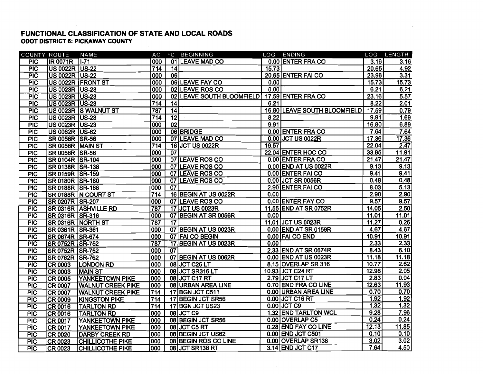#### **FUNCTIONAL CLASSIFICATION OF STATE AND LOCAL ROADS ODOT DISTRICT 6: PICKAWAY COUNTY**

| <b>COUNTY ROUTE</b> |                       | NAME                           |                  |                 | AC FC BEGINNING               |       | LOG ENDING                   |       | LOG LENGTH |
|---------------------|-----------------------|--------------------------------|------------------|-----------------|-------------------------------|-------|------------------------------|-------|------------|
| <b>PIC</b>          | <b>IR 0071R</b> 1-71  |                                | 000              |                 | 01 LEAVE MAD CO               |       | 0.00 ENTER FRA CO            | 3.16  | 3.16       |
| PIC                 | US 0022R US-22        |                                | 714              | $\overline{14}$ |                               | 15.73 |                              | 20.65 | 4.92       |
| $\overline{P}$      | US 0022R US-22        |                                | 000              | $\overline{06}$ |                               |       | 20.65 ENTER FAI CO           | 23.96 | 3.31       |
| PIC                 |                       | US 0022R FRONT ST              | 000              |                 | 06 LEAVE FAY CO               | 0.00  |                              | 15.73 | 15.73      |
| PIC                 | US 0023R US-23        |                                | 000              |                 | 02 LEAVE ROS CO               | 0.00  |                              | 6.21  | 6.21       |
| PIC                 | US 0023R US-23        |                                | 000              | 02              | <b>LEAVE SOUTH BLOOMFIELD</b> |       | 17.59 ENTER FRA CO           | 23.16 | 5.57       |
| <b>PIC</b>          | US 0023R US-23        |                                | 714              | 14              |                               | 6.21  |                              | 8.22  | 2.01       |
| PIC                 |                       | US 0023R S WALNUT ST           | 787              | 14              |                               |       | 16.80 LEAVE SOUTH BLOOMFIELD | 17.59 | 0.79       |
| PIC                 | <b>US 0023R US-23</b> |                                | 714              | $\overline{12}$ |                               | 8.22  |                              | 9.91  | 1.69       |
| PIC                 | US 0023R US-23        |                                | 000              | 02              |                               | 9.91  |                              | 16.80 | 6.89       |
| PIC                 | US 0062R US-62        |                                | 000              |                 | 06 BRIDGE                     |       | 0.00 ENTER FRA CO            | 7,64  | 7.64       |
| $\overline{PIC}$    | SR 0056R SR-56        |                                | 000              |                 | 07 LEAVE MAD CO               |       | 0.00 JCT US 0022R            | 17.36 | 17.36      |
| $\overline{PIC}$    | SR 0056R MAIN ST      |                                | $\overline{714}$ |                 | 16 JCT US 0022R               | 19.57 |                              | 22.04 | 2.47       |
| <b>PIC</b>          | SR 0056R SR-56        |                                | 000              | $\overline{07}$ |                               |       | 22.04 ENTER HOC CO           | 33.95 | 11.91      |
| <b>PIC</b>          | SR 0104R SR-104       |                                | 000              |                 | 07 LEAVE ROS CO               |       | 0.00 ENTER FRA CO            | 21.47 | 21.47      |
| PIC                 | SR 0138R SR-138       |                                | 000              |                 | 07 LEAVE ROS CO               |       | 0.00 END AT US 0022R         | 9.13  | 9.13       |
| PIC                 | SR 0159R SR-159       |                                | 000              |                 | 07 LEAVE ROS CO               |       | 0.00 ENTER FAI CO            | 9.41  | 9.41       |
| PIC                 | SR 0180R SR-180       |                                | 000              |                 | 07 LEAVE ROS CO               |       | 0.00 JCT SR 0056R            | 0.48  | 0.48       |
| PIC                 | SR 0188R SR-188       |                                | 000              | $\overline{07}$ |                               |       | 2.90 ENTER FAI CO            | 8.03  | 5.13       |
| <b>PIC</b>          |                       | SR 0188R N COURT ST            | $\overline{714}$ |                 | 16 BEGIN AT US 0022R          | 0.00  |                              | 2,90  | 2.90       |
| PIC                 | SR 0207R SR-207       |                                | 000              |                 | 07 LEAVE ROS CO               |       | 0.00 ENTER FAY CO            | 9.57  | 9.57       |
| <b>PIC</b>          |                       | SR 0316R ASHVILLE RD           | 787              |                 | 17 JCT US 0023R               |       | 11.55 END AT SR 0752R        | 14.05 | 2.50       |
| PIC                 | SR 0316R SR-316       |                                | 000              |                 | 07 BEGIN AT SR 0056R          | 0.00  |                              | 11.01 | 11.01      |
| PIC                 |                       | <b>SR 0316R NORTH ST</b>       | 787              | $\overline{17}$ |                               |       | 11.01 JCT US 0023R           | 11.27 | 0.26       |
| PIC                 | SR 0361R SR-361       |                                | 000              |                 | 07 BEGIN AT US 0023R          |       | 0.00 END AT SR 0159R         | 4.67  | 4.67       |
| PIC                 | SR 0674R SR-674       |                                | 000              |                 | 07 FAI CO BEGIN               |       | 0.00 FAI CO END              | 10.91 | 10.91      |
| <b>PIC</b>          | SR 0752R SR-752       |                                | 787              |                 | 17 BEGIN AT US 0023R          | 0.00  |                              | 2.33  | 2.33       |
| PIC                 | SR 0752R SR-752       |                                | 000              | $\overline{07}$ |                               |       | 2.33 END AT SR 0674R         | 8.43  | 6.10       |
| PIC                 | SR 0762R SR-762       |                                | 000              |                 | 07 BEGIN AT US 0062R          |       | 0.00 END AT US 0023R         | 11.18 | 11.18      |
| PIC                 |                       | CR 0003 LONDON RD              | 000              |                 | 08 JCT C26 LT                 |       | 8.15 OVERLAP SR 316          | 10.77 | 2.62       |
| PIC                 | <b>CR 0003</b>        | <b>MAIN ST</b>                 | 000              |                 | 08 JCT SR316 LT               |       | 10.93 JCT C24 RT             | 12.98 | 2.05       |
| PIC                 |                       | <b>CR 0005 YANKEETOWN PIKE</b> | 000              |                 | 08 JCT C17 RT                 |       | 2.79 JCT C17 LT              | 2.83  | 0.04       |
| <b>PIC</b>          | <b>CR 0007</b>        | <b>WALNUT CREEK PIKE</b>       | 000              |                 | 08 URBAN AREA LINE            |       | 0.70 END FRA CO LINE         | 12.63 | 11.93      |
| PIC                 | <b>CR 0007</b>        | <b>WALNUT CREEK PIKE</b>       | 714              |                 | 17 BGN JCT C511               |       | 0.00 URBAN AREA LINE         | 0.70  | 0.70       |
| PIC                 | <b>CR 0009</b>        | <b>KINGSTON PIKE</b>           | 714              |                 | 17 BEGIN JCT SR56             |       | 0.00 JCT C16 RT              | 1.92  | 1.92       |
| PIC                 | <b>CR 0016</b>        | <b>TARLTON RD</b>              | 714              |                 | 17 BGN JCT US23               |       | $0.00$ JCT C9                | 1.32  | 1.32       |
| PIC                 | <b>CR 0016</b>        | <b>TARLTON RD</b>              | 000              |                 | 08 JCT C9                     |       | 1.32 END TARLTON WCL         | 9.28  | 7.96       |
| <b>PIC</b>          | <b>CR 0017</b>        | <b>YANKEETOWN PIKE</b>         | 000              |                 | 08 BEGIN JCT SR56             |       | 0.00 OVERLAP C5              | 0.24  | 0.24       |
| $\overline{P}$      | <b>CR 0017</b>        | <b>YANKEETOWN PIKE</b>         | 000              |                 | 08 JCT C5 RT                  |       | 0.28 END FAY CO LINE         | 12.13 | 11.85      |
| $\overline{PIC}$    | <b>CR 0020</b>        | <b>DARBY CREEK RD</b>          | 000              |                 | 08 BEGIN JCT US62             |       | 0.00 END JCT C501            | 0.10  | 0.10       |
| PIC                 | CR 0023               | <b>CHILLICOTHE PIKE</b>        | 000              |                 | 08 BEGIN ROS CO LINE          |       | 0.00 OVERLAP SR138           | 3.02  | 3.02       |
| <b>PIC</b>          | CR 0023               | <b>CHILLICOTHE PIKE</b>        | 000              |                 | 08 JCT SR138 RT               |       | 3.14 END JCT C17             | 7.64  | 4.50       |